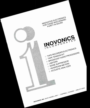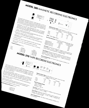rne Mode/ 380 represents Inovonics" fourth generation of see-con- $\frac{1}{2}$ associationed 44as netic Recording electronics for professional and professional audio record-

<sup>111e</sup> <sup>Wind</sup> Worker 300 in Europe in Substantial include:<br>
ing applications. The 380 is suitable either for profession or sen-<br>
and film recording equipment performance of existing and audio record-<br>
Equalization, level a For substantially first film recording the Features performance of existing improving the performance of existing and one of existing magnetic tape of existing magnetic tape of existing magnetic tape of existing magnetic ing applications, The 380 is suitable either for new OEM<br>and film recording equipment, features for new OEM installations or<br>routing equipment, features include.

Pickup" ("ut, EQ characteristic a different table for routine, two characteristic<br>"productions to a different table stock, two characteristics"

• "Pickup" (insert) Record Capability with adjustable delay, and "Sync"<br>Provision for remote selection of transfer.<br>"Auto Mute" to attenuate playback during high speed search, and defeatable

 $\sigma$  and  $\sigma$  circuito  $t_{\rm eff}$  and  $\sigma$   $\sigma$   $\sigma$  monitor  $f_{\rm eff}$  to  $\sigma$  and  $\sigma$   $\sigma$   $\sigma$  $\mathcal{L}_{\text{D}}$ 

 $\epsilon_{\text{c}}$  and  $\epsilon_{\text{c}}$  and  $\epsilon_{\text{c}}$  is the effects of tape collection and defend evendble in order

 $\sim$   $\sigma$  or  $\eta_{0m}$ ,  $\sim$   $\sigma$  heads and  $\sigma$  is  $\sim$   $\sigma$ 

**Freespons** and the clear still monitoring the desired for the step of the stereo or multi-tracks.  $\frac{1}{2}$  $\frac{1}{2}$ • Switchable "VU" or 10 $m_S$ , quasi-peak program monitoring.<br> **Frequency Response** (in  $H_z$ ).<br>
30 $m_S$ <br> **Frequency Response** (in  $H_z$ ).

 $+\frac{1}{2} \frac{1}{1} \frac{1}{1} \frac{1}{1} \frac{1}{1} \frac{1}{1} \frac{1}{1} \frac{1}{1} \frac{1}{1} \frac{1}{1} \frac{1}{1} \frac{1}{1} \frac{1}{1} \frac{1}{1} \frac{1}{1} \frac{1}{1} \frac{1}{1} \frac{1}{1} \frac{1}{1} \frac{1}{1} \frac{1}{1} \frac{1}{1} \frac{1}{1} \frac{1}{1} \frac{1}{1} \frac{1}{1} \frac{1}{1} \frac{1}{1} \frac{1}{1} \frac{1}{1} \frac{1}{1} \frac{$  $REPRODUCE$ <br>  $\pm$  1 dB, 60-20<sub>k</sub>  $15<sub>i</sub> <sub>DS</sub>$ z•-- 1d8, S-20k z•.- lc:1  $\sim$ **SYNC**  $7\frac{1}{2}10s$  $\sim$  'QB, 30  $\sim$   $\alpha$  $\frac{1}{\sqrt{10}}$  370  $\frac{1}{\sqrt{10}}$ 

""  $O$ der n  $\epsilon_{\alpha}$ <sup>ovosi</sup>onal  $\epsilon_{\alpha}$ <sup>d</sup> replacement electronics is a replacement electronics of  $\epsilon$ <sup>c</sup>ucatio- $I_{\rm{max}}$  . The set of  $I_{\rm{max}}$ Le<sup>2</sup>.views

 $p_{\text{max}}$  for  $\mu_{\text{max}}$ professional recorders. It is a basic, two-speeds for updating<br>to meet the demande of right reliability and of rugged for updating<br>the 370 applications. It is a basic, two-speeds for updating<br>the 370 accommodates of contin older protessional recorders. It is a basic, two-speed continuous use the demands of continuous use in broadcast studion and The 370 accornelodates virtually any combination of original and  $R_{\ell}$ replacement heads of either high or low in  $I_{\ell}$  in  $I_{\ell}$  is pin-compatible. It is pin-compatible in  $\ell$ ble with Ampex 300-, 350- and 440-series machines and easily

added to most other professional recorders. Figures in  $m_{\tilde{c}}$  $\sigma_{\rm 100~s}$   $\sim$  controls and  $\sigma_{\rm 200~s}$  and  $\sigma_{\rm 1000}$  from  $\sigma_{\rm 200}$  and  $\sigma_{\rm 1000}$  $s_{\rm max}$ stable, multi-turn pots. Pots. pots.  $\sim$  $\epsilon_{\rm g}$  antis plugs are stand in plugs from the form of distinguisting  $\epsilon_{\rm g}$ • All controls are "up front" for easy setup,<br>
stable, multi-turn pots.<br>
Finire electronics assembly unplugs from the front for ease in services<br>
Two units plug together for stereo operation.<br> **Prail Frequency banding fro** 

 $T^{\alpha}$  reques  $\frac{1}{\alpha}$  is the stereo of the stereo operation.  $r$ <sup>nesponse  $\sim$  On  $\sim$ </sup>

> $+20B, 25-25k$ <br> $+20B, 20-15k$  $+20B, 20B$

 $\bullet$   $\bullet$   $\bullet$   $\bullet$   $\bullet$   $\bullet$   $\bullet$ 

 $I_{\frac{N_{\rm OVONIC_S}}{N_{\rm F}}}$  $RER$ RECORD  $s_{\mathsf{ign}_{\mathsf{old}}}$ 

 $500<sup>o</sup>$  $\sim$  $\partial_{\mu}$  $u_{\text{Mol}}$  -rall with-track re  $-63 -74$   $V_{\text{14m}}$ .  $\text{Per}_{\text{max}}$   $\frac{1}{2}$   $\text{Big}_{\text{max}}$   $\frac{1}{2}$  $7\frac{1}{2}i_{DS}$ **Erase:**  $125kHz$ ; **Bias:**  $250kHz$  $-72$   $-70$  $-75$ S1AND-B8Y4 86ci

-75  $\mathsf{Der}_{\mathsf{Set}}$  at 15-mil-wavelength tp.ac. Operating Level<br>3dB above Op Level<br>6dB above Op Level<br>9dB above Op Level  $\sigma$   $\sigma$  $40\%$  Op  $\left(\frac{1}{2}C\right)$   $40\%$  OPTIMIZED 15 $\left(\frac{5}{2}\right)$  $\sim$ 3%  $\frac{1}{2}$   $\frac{1}{2}$   $\frac{1}{2}$   $\frac{1}{2}$   $\frac{1}{2}$   $\frac{1}{2}$   $\frac{1}{2}$   $\frac{1}{2}$   $\frac{1}{2}$   $\frac{1}{2}$   $\frac{1}{2}$   $\frac{1}{2}$   $\frac{1}{2}$   $\frac{1}{2}$   $\frac{1}{2}$   $\frac{1}{2}$   $\frac{1}{2}$   $\frac{1}{2}$   $\frac{1}{2}$   $\frac{1}{2}$   $\frac{1}{2}$   $\frac{1}{2}$ 

Variabove Op Level<br>  $\frac{1}{2}$ <br>  $\frac{1}{2}$ <br>  $\frac{1}{2}$ <br>  $\frac{1}{2}$ <br>  $\frac{1}{2}$ <br>  $\frac{1}{2}$ <br>  $\frac{1}{2}$ <br>  $\frac{1}{2}$ <br>  $\frac{1}{2}$ <br>  $\frac{1}{2}$ <br>  $\frac{1}{2}$ <br>  $\frac{1}{2}$ <br>  $\frac{1}{2}$ <br>  $\frac{1}{2}$ <br>  $\frac{1}{2}$ <br>  $\frac{1}{2}$ <br>  $\frac{1}{2}$ <br>  $\frac{1}{2}$ <br>  $\frac$ . $70\%$  $\frac{L}{2}$  ine Output:  $\frac{d}{dt}$  and  $\frac{d}{dt}$  and  $\frac{d}{dt}$  in Gaing, accepts  $\frac{d}{dt}$  $-50\%$  $10\%$  $\mu_{\alpha}$  + 30 $\alpha_{\text{Rpn}}$  eformer-16esdsncolp.ie.ria odtio 80.  $\alpha_{\text{Rpn}}$  $\sim$  95%

 $P\sim$   $P\sim$   $Q\sim$   $Q\sim$   $S\sim$   $P\sim$   $S\sim$   $S\sim$   $S\sim$   $S\sim$   $S\sim$   $S\sim$   $S\sim$   $S\sim$  $\mathbf{F} \mathbf{D}$  , SOV available  $\mathbf{Z}$  $\overline{q}$  ransport ransport  $\overline{q}$ 

 $E = \frac{1}{2} \sqrt{R_{\text{max}}^2}$ 

 $\overrightarrow{B_{\text{subloop}}}$   $\overrightarrow{B_{\text{subloop}}}$   $\overrightarrow{B_{\text{subloop}}}$   $\overrightarrow{B_{\text{subloop}}}$  $A = \frac{1}{2}$ 

 $\frac{20H}{200}$  and  $\frac{40}{500}$  erg  $\frac{40}{500}$  $20.25$   $10$  $u'w_{\alpha}$  $-74 - 75$  Wtd.  $\sim$ 07  $M_{\text{C}}$ <br>-74  $u'_{\text{M}}$  STANDBY<br>-74 -75 W Li 'kwa maso katika mwaka wa 141 da wa 141 da wa 141 da wa 141 da wa 141 da wa 141 da wa 141 da wa 141 da wa 14 SIANDON.  $3^{3}/_{4105}$  $E_{\text{rase}}$ : 0.2-20 $\mu$ mpedance Range. Erase: 0.2-2.0mH<br>Record: 3-2.0mH<br>Reproduce: 3mH-1H

 $-74$   $-75$   $-70$   $-75$   $-83$  $-83$  $-77$ 

Line RelDroduce: Input: "Electronically-balance m11-11 ri

 $\ln a$   $\frac{C_{eff} - 10}{2}$  and  $\frac{C_{eff}}{2}$ 

epte  $\frac{1}{2}$ adarn output: into  $\frac{1}{2}$ darn Balanced, load. transformer-isolated into  $\frac{1}{2}$  into a line

Line Output: Balanced, transformer-isolated;<br>
+ 24dBm into 600-Ohm load + 4 and +10dBm. Clipping Level,  $\sim$   $\frac{91}{5}$  $\sim$ 

 $\frac{1}{20}$ 

 $0.3<sub>A</sub>$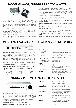# MODEL GHM-00, GHM-01 HEADROOM METER



The Gordon Headroom Meter is a peak-reading audio level indicator conforming to the UK/EBU standard (BS4297:1968) for response to audio program peaks. The device responds per the UK/ EBU specification, indicator ballistic behavior has been optimized for a much more artistically-desirable display than the conventional PPM.

The Gordon Headroom Meter is available in two versions. The GHM-00 is a complete metering system including both an electronics assembly and an optimum meter movement with expanded-range scale. The GHM-01 is a retrofit electronics kit for adapting existing "VU" meters.

Any number of meters in a given installation can be simultaneously switched into a "lineup" mode by a single contact closure. In the

case of the GHM-00, gain is increased by a preset amount for ease in system calibration with steady-state test tones; the GHM-01 is returned to true "VU" operation. Similarly, another single contact closure imparts a 75-microsecond pre-emphasis characteristic to all connected meters. This provides more meaningful measurements in disc transfer and FM broadcasting.

Input Impedance: 180k, balanced; 90k, unbalanced.

Input Sensitivity: Accepts nominal line levels between 0dBm and 10dBm. An alternate single-ended input can be used with levels down to -20dBm.

**Frequency Response:**  $\pm$  0.25dB, 20Hz-20kHz. Phase response is linear.

Peak Response: Quasi-peak, per UK/EBU, 10ms. integration characteristic (BS4297: 1968).

Peak Response Accuracy: GHM-00,  $\pm$  0.5dB; GHM-01,  $\pm$  1dB for "VU" meters which meet ANSI C16.5-1954.

Power Requirement:  $\pm$  15VDC bipolar, regulated; 16mA per meter.

**Meter Size (GHM-00):** Nominal  $3\frac{1}{2}$ -inch (3.5"  $\times$  3.0"); surface- or bezel-mountable

# MODEL 201 AVERAGE AND PEAK RESPONDING LIMITER



lnovonics' Model 201 is an unusually smooth dual-function audio limiter designed for studio recording, mastering, and broadcast production work. Serving as both a fast peak limiter and independent average-responding limiter, Model 201 restricts program peaks to a preset ceiling value while maintaining the average program level within desired limits. Features include variable dynamic range compression, exclusive open-loop gain reduction and ripple-canceling circuitry, and visual indication of gain reduction.

#### Frequency Response: ± 0.5dB, 20Hz-20kHz.

Signal-to-Noise Ratio: >75dB, 20Hz-20kHz referred to + 4dBm.

| Distortion (THD):<br>Peak Limiter | 50Hz-200Hz | 900Hz-90kHz |
|-----------------------------------|------------|-------------|
| Slow Release:                     | $< 0.5\%$  | < 0.95%     |
| Fast Release:                     | $<1.0\%$   | < 0.95%     |
| Average Level limiter:            | $<0.5\%$   | < 0.95%     |

#### Limiter Timing: Peak

| Peak Limiter                    |                                                                                                                       |
|---------------------------------|-----------------------------------------------------------------------------------------------------------------------|
| Attack:                         | Continuously variable between 1 µs/dB<br>limiting and 1ms/dB limiting.                                                |
| Release:                        | Continuously variable between 5ms/dB<br>limiting and 50ms/dB limiting.                                                |
| Average Level limiter           |                                                                                                                       |
| AVG Response:<br>"VU" Response: | 10ms/dB limiting<br>30ms/dB limiting                                                                                  |
| Input:                          |                                                                                                                       |
| Sensitivity:                    | Adjusts to accommodate input levels<br>between $-15$ and $+5$ VU with calibra-<br>ted "unity gain" position.          |
| Impedance:                      | 100k, unbalanced (transformer optional).                                                                              |
| Output:                         | Transformer-isolated line output feeds<br>600 ohm line or bridging inputs at $+4$ or<br>+8dBm. Clipping level +24dBm. |

+ 23dBm.

### MODEL 241 "DYNEX" NOISE SUPPRESSION

|                                                                                                                                                                                                                                                                                                                                                                                                                                                   | Distortion:                                         | $<$ 0.1% THD up to $+8$ dBm<br>$<$ 0.3% THD up to $+$ 23dBm                                                                                                  |
|---------------------------------------------------------------------------------------------------------------------------------------------------------------------------------------------------------------------------------------------------------------------------------------------------------------------------------------------------------------------------------------------------------------------------------------------------|-----------------------------------------------------|--------------------------------------------------------------------------------------------------------------------------------------------------------------|
| <b>Freehold</b><br>WIDE<br>BAND LINEAR<br>NOISE EXPAND<br>$\begin{picture}(180,10) \put(0,0){\line(1,0){10}} \put(10,0){\line(1,0){10}} \put(10,0){\line(1,0){10}} \put(10,0){\line(1,0){10}} \put(10,0){\line(1,0){10}} \put(10,0){\line(1,0){10}} \put(10,0){\line(1,0){10}} \put(10,0){\line(1,0){10}} \put(10,0){\line(1,0){10}} \put(10,0){\line(1,0){10}} \put(10,0){\line(1,0){10}} \put(10,0){\line($<br>$\bullet$<br>DYNEX<br>THRESHOLD- | <b>Noise Suppression</b><br><b>Characteristics:</b> | Choice of LF rolloff. HF rolloff or<br>wideband suppression. Restoration to<br>flat response begins when energy in the<br>suppressed band exceeds threshold. |
| A program-controlled filter/expander, Model 241 DYNEX is an                                                                                                                                                                                                                                                                                                                                                                                       | Linear Expand:                                      | 10dB of broadband program attenuation<br>with linear re-expansion to unity gain<br>beginning at threshold.                                                   |
| effective tool for suppression of residual background noise in<br>audio reproduction systems, TV film chains, etc. Model 241 offers a<br>choice of operating modes for selective suppression of low-<br>frequency, high-frequency, or wideband noise, or restoration of                                                                                                                                                                           | Input:                                              | 100k unbalanced bridging (transformer<br>optional) for nominal line levels between<br>$0$ and $+8$ d $B$ m.                                                  |
| program dynamics by linear expansion.                                                                                                                                                                                                                                                                                                                                                                                                             | Output:                                             | Transformer-isolated line output feeds                                                                                                                       |
| <b>Frequency Response:</b><br>$\pm$ 0.5dB, 20Hz-20kHz                                                                                                                                                                                                                                                                                                                                                                                             |                                                     | 600 ohm line or bridging inputs at<br>nominal line levels. Clipping level                                                                                    |

Signal-to-Noise Ratio: Output noise below -85dBm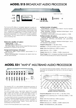### MODEL 215 BROADCAST AUDIO PROCESSOR



Model 215

The Inovonics 215 offers an "as needed" approach to audio processing for AM and FM broadcasting. Processing options are provided in the form of plug-in subassemblies to perform gain-riding A.G.C., average level compression and peak control functions. The various options are available singly or in pairs to fulfill a specific processing requirement or to complement existing equipment. "Fully-loaded," the 215 stands alone as a complete broadcast audio processing chain.

### Gated A.G.C. Amplifier (-01 option):

Capture Range: ± 10dB

Correction Rate: 0.5dB/second

Pink Noise Source: Pseudo-random digital Pink Noise may be substituted for program for set-up or test.

#### Average Level Compressor (-02 option):

Compression Ratio: Program-variable, approximately 2:1 at 10dB compression.

Stereo Interconnection: Compressors are slaved when two units are interconnected.

#### AM Peak Controller (-03 option):

Phase-Follower: Inaudible "phase rotation" circuit to maintain maximum positive modulation.

Peak Controller: Integrated feedback-limiter/clipper circuit with adjustable clipping depth.

Asymmetry: Positive peaks continuously variable to  $+150\%$ .

#### FM Peak Controller (-04 option):

Selective Limiting Characterisitc: Selectable "flat" or 75/25µs complementary prelimiting pre-emphasis and post-limiting de-emphasis.

Peak Controller: integrated feedback-limiter/clipper circuit with adjustable clipping depth.

Frequency Response: ± 1dB, 50Hz-15kHz

Distortion: <0.3% above 200Hz, approx. 1% at 50Hz.

Noise: Better than 60dB below 100% modulation.

Input: Balanced, —30 to + 10dBm.

**Output:** Balanced, 0 to  $+20$ dBm;  $+24$ dBm clipping level.

"Proof" Mode: A.G.C., Compressor and Peak Controller defeated: HPF and LPF electronically set for maximum bandwidth.

### MODEL 231 "MAP-II" MULTIBAND AUDIO PROCESSOR



The lnovonics 231 is a user-oriented discriminate processor of advanced design to assure optimum modulation in AM broadcast applications.

The MAP-II includes a slow, "gain-riding", gated A.G.C. to erase input program level variation. The eight bandpass compressors offer control over the input and the output signal in each, to afford ultimate "dynamic equalization" of the program material.

The unique Peak Controller incorporates a true, fast peak limiter with a clipper in a feedback arrangement to give total control over clipping depth and asymmetry. Maximum positive modulation is assured by an inaudible phase "rotation" circuit, rather than the usual phase switching schemes.

A built-in Pink Noise generator aids in system setup.

All component parts are readily available, "off the shelf", and circuit assemblies are accessible from the front of the unit for ease in servicing.



Overall Frequency Response and Bandpass Compressor Characteristics

Frequency Response (when set "flat"):  $\pm$  1dB, 50Hz-15kHz. Distortion (at any operating point): <0.3% above 200Hz; <1.0% at 50Hz.

Noise: better than 65dB below 100% modulation.

Input: Balanced, —30 to + 10dBm.

Output: Balanced, 0 to + 20dBm; + 24dBm clipping level Power: 100/120/220/240VAC, 30W; 50/60Hz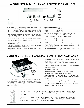## MODEL 377 DUAL CHANNEL REPRODUCE AMPLIFIER



The Inovonics 377 is a self-contained, dual-channel magnetic tape reproduce amplifier. Designed primarily for broadcast automation systems, the 377 also finds use in background music installations, tape duplicator "QC" checkers and other basic, single-speed applications.

- Accommodates virtually any tape reproduce head. -01 option can be strapped for either Hi-Z or Lo-Z head windings. Pin-compatible with Ampex and Schafer equipment.
- Low noise design utilizes an optimum combination of IC and discrete circuitry for lowest residual electronics noise.
- Wide equalization adjustment range for both NAB and IEC recording characteristics, 1% to 30ips.
- Multi-turn trim adjustments and fully regulated power supply assure stability of settings and drift-free operation.
- Entire electronics amplifier subassembly unplugs from the front panel for ease of maintenance.

#### Frequency Response (in Hz):

| 15ips              | $±$ 2dB, 30-22 $k$  |
|--------------------|---------------------|
| $7\frac{1}{2}$ ips | $\pm$ 2dB, 20-18k   |
| $3\frac{3}{4}$ ips | $± 3dB$ , 20-14 $k$ |

Output: Transformer-isolated, feeds 600-ohm line or bridging inputs, balanced or unbalanced, at + 4 or + 8dBm for zero-VU.

Signal-to-Noise Ratio (STANDBY in dB; 2-track format):

|                    | u'wtd. | wtd. |
|--------------------|--------|------|
| 15ips              | -70    | -81  |
| $7\frac{1}{2}$ ips | $-70$  | -81  |
| $3\frac{3}{4}$ ips | -69    | -80  |

Recommended Head Inductances: -00 version-200mH to 1H, 400mH optimum. -01 version-same as -00 or strappable for 3 to 6mH, 4mH optimum.

Power Requirements: 105-130VAC (230V available), 50/60Hz; 1/4A (plus transport, if powered by 377).

### MODEL 405 "TENTROL" RECORDER CONSTANT TENSION ACCESSORY KIT



Inovonics' Series 405 is an easily installed accessory kit which provides constant tape tension on most professional audio recorders and duplicator transports. The kit is designed to reduce capstan slippage, eliminate pitch change, extend head life, and improve high -frequency system performance.

Active in the "RECORD" and "REPRODUCE" modes, it may be used to control either the holdback or takeup tension. TENTROL does not disturb the tape path since it utilizes a tachometer which is attached to the reel motor.

TENTROL is designed for use with all Ampex 3-motor transports and is adaptable to many others.

Tape Widths: 1" and under.

**Tape Speeds:** Speed pairs from  $3\frac{3}{4}$  -  $7\frac{1}{2}$  ips to 60-120ips.

Reel Sizes: "Cine" (1%") hub through 14" with NAB hub.

Nominal Constant Tension at Head: Adjustable from 3 to 9 ozs. within motor torque and heat dissipation limitations. Variation throughout reel  $\pm \frac{1}{2}$  oz.

**Starting Torque:** Adjustable for optimum starting characteristics.

Maximum Torque Available: 85% of rated maximum motor torque.

Power Requirements: TENTROL receives power from the tape transports and will operate at 50 or 60 Hz.



Since 1972 Inovonics has been providing sophisticated audio recording, processing and instrumentation equipment for the professional broadcast, recording and sound-related industries.

Products designed and manufactured by Inovonics are distributed worldwide through professional audio and video equipment dealers. Contact your distributor, or Inovonics directly, for additional information, or a demonstration of any item.